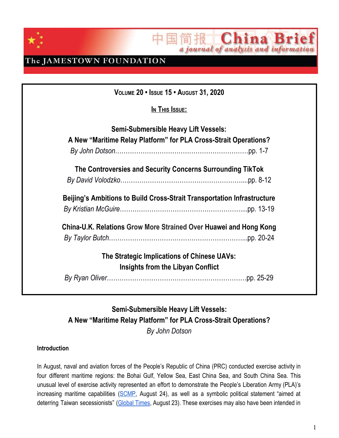



## The JAMESTOWN FOUNDATION

| VOLUME 20 . ISSUE 15 . AUGUST 31, 2020                                  |
|-------------------------------------------------------------------------|
| In This Issue:                                                          |
| <b>Semi-Submersible Heavy Lift Vessels:</b>                             |
| A New "Maritime Relay Platform" for PLA Cross-Strait Operations?        |
|                                                                         |
| The Controversies and Security Concerns Surrounding TikTok              |
|                                                                         |
| Beijing's Ambitions to Build Cross-Strait Transportation Infrastructure |
|                                                                         |
| China-U.K. Relations Grow More Strained Over Huawei and Hong Kong       |
|                                                                         |
| The Strategic Implications of Chinese UAVs:                             |
| Insights from the Libyan Conflict                                       |
|                                                                         |

## **Semi-Submersible Heavy Lift Vessels: A New "Maritime Relay Platform" for PLA Cross-Strait Operations?** *By John Dotson*

### **Introduction**

In August, naval and aviation forces of the People's Republic of China (PRC) conducted exercise activity in four different maritime regions: the Bohai Gulf, Yellow Sea, East China Sea, and South China Sea. This unusual level of exercise activity represented an effort to demonstrate the People's Liberation Army (PLA)'s increasing maritime capabilities ([SCMP,](https://www.scmp.com/news/china/military/article/3098671/chinas-navy-drills-4-regions-show-ability-counter-us-observers) August 24), as well as a symbolic political statement "aimed at deterring Taiwan secessionists" [\(Global](https://www.globaltimes.cn/content/1198593.shtml) Times, August 23). These exercises may also have been intended in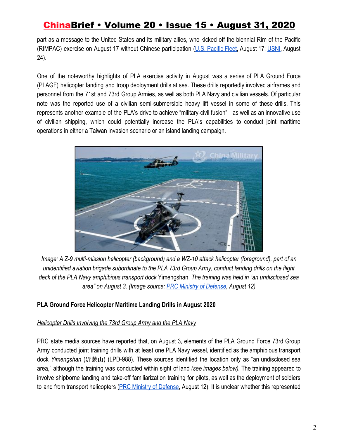part as a message to the United States and its military allies, who kicked off the biennial Rim of the Pacific (RIMPAC) exercise on August 17 without Chinese participation (U.S. [Pacific](https://www.cpf.navy.mil/news.aspx/130705) Fleet, August 17; [USNI,](https://news.usni.org/2020/08/24/no-russian-or-chinese-presence-at-first-week-of-rimpac) August 24).

One of the noteworthy highlights of PLA exercise activity in August was a series of PLA Ground Force (PLAGF) helicopter landing and troop deployment drills at sea. These drills reportedly involved airframes and personnel from the 71st and 73rd Group Armies, as well as both PLA Navy and civilian vessels. Of particular note was the reported use of a civilian semi-submersible heavy lift vessel in some of these drills. This represents another example of the PLA's drive to achieve "military-civil fusion"—as well as an innovative use of civilian shipping, which could potentially increase the PLA's capabilities to conduct joint maritime operations in either a Taiwan invasion scenario or an island landing campaign.



*Image: A Z-9 multi-mission helicopter (background) and a WZ-10 attack helicopter (foreground), part of an unidentified aviation brigade subordinate to the PLA 73rd Group Army, conduct landing drills on the flight deck of the PLA Navy amphibious transport dock* Yimengshan. *The training was held in "an undisclosed sea area" on August 3. (Image source: [PRC Ministry of Defense,](http://eng.mod.gov.cn/news/2020-08/12/content_4869514_8.htm) August 12)*

## **PLA Ground Force Helicopter Maritime Landing Drills in August 2020**

#### *Helicopter Drills Involving the 73rd Group Army and the PLA Navy*

PRC state media sources have reported that, on August 3, elements of the PLA Ground Force 73rd Group Army conducted joint training drills with at least one PLA Navy vessel, identified as the amphibious transport dock *Yimengshan* (沂蒙山) (LPD-988). These sources identified the location only as "an undisclosed sea area," although the training was conducted within sight of land *(see images below).* The training appeared to involve shipborne landing and take-off familiarization training for pilots, as well as the deployment of soldiers to and from transport helicopters (PRC Ministry of [Defense](http://eng.mod.gov.cn/news/2020-08/12/content_4869514_8.htm), August 12). It is unclear whether this represented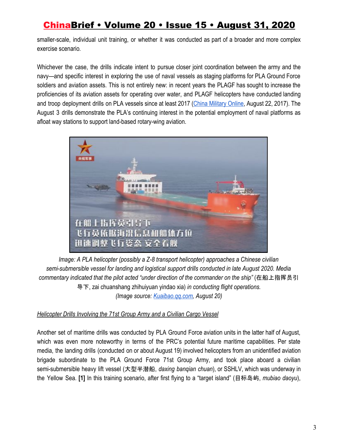smaller-scale, individual unit training, or whether it was conducted as part of a broader and more complex exercise scenario*.*

Whichever the case, the drills indicate intent to pursue closer joint coordination between the army and the navy—and specific interest in exploring the use of naval vessels as staging platforms for PLA Ground Force soldiers and aviation assets. This is not entirely new: in recent years the PLAGF has sought to increase the proficiencies of its aviation assets for operating over water, and PLAGF helicopters have conducted landing and troop deployment drills on PLA vessels since at least 2017 (China [Military](http://eng.chinamil.com.cn/view/2017-08/22/content_7726945.htm) Online, August 22, 2017). The August 3 drills demonstrate the PLA's continuing interest in the potential employment of naval platforms as afloat way stations to support land-based rotary-wing aviation.



*Image: A PLA helicopter (possibly a Z-8 transport helicopter) approaches a Chinese civilian semi-submersible vessel for landing and logistical support drills conducted in late August 2020. Media commentary indicated that the pilot acted "under direction of the commander on the ship"* (在船上指挥员引 导下, zai chuanshang zhihuiyuan yindao xia) *in conducting flight operations. (Image source[:](https://kuaibao.qq.com/s/20200820A0633L00) [Kuaibao.qq.com](https://kuaibao.qq.com/s/20200820A0633L00), August 20)*

## *Helicopter Drills Involving the 71st Group Army and a Civilian Cargo Vessel*

Another set of maritime drills was conducted by PLA Ground Force aviation units in the latter half of August, which was even more noteworthy in terms of the PRC's potential future maritime capabilities. Per state media, the landing drills (conducted on or about August 19) involved helicopters from an unidentified aviation brigade subordinate to the PLA Ground Force 71st Group Army, and took place aboard a civilian semi-submersible heavy lift vessel (大型半潜船, *daxing banqian chuan*), or SSHLV, which was underway in the Yellow Sea. **[1]** In this training scenario, after first flying to a "target island" (目标岛屿, *mubiao daoyu*),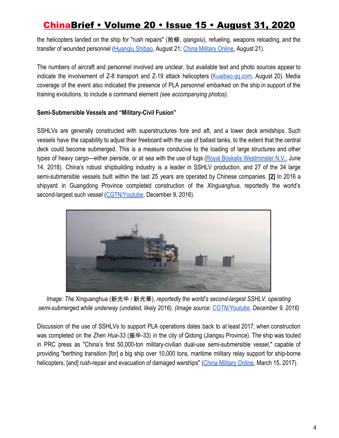the helicopters landed on the ship for "rush repairs" (抢修, *qiangxiu*), refueling, weapons reloading, and the transfer of wounded personnel ([Huanqiu Shibao,](https://mil.huanqiu.com/article/3zYKXSaaEBI) August 21; [China Military Online](http://english.chinamil.com.cn/view/2020-08/21/content_9887106.htm), August 21).

The numbers of aircraft and personnel involved are unclear, but available text and photo sources appear to indicate the involvement of Z-8 transport and Z-19 attack helicopters [\(Kuaibao.qq.com](https://kuaibao.qq.com/s/20200820A0633L00), August 20). Media coverage of the event also indicated the presence of PLA personnel embarked on the ship in support of the training evolutions, to include a command element *(see accompanying photos).*

### **Semi-Submersible Vessels and "Military-Civil Fusion"**

SSHLVs are generally constructed with superstructures fore and aft, and a lower deck amidships. Such vessels have the capability to adjust their freeboard with the use of ballast tanks, to the extent that the central deck could become submerged. This is a measure conducive to the loading of large structures and other types of heavy cargo—either pierside, or at sea with the use of tugs (Royal Boskalis [Westminster](https://www.youtube.com/watch?v=DikEDcM7eIs) N.V., June 14, 2018). China's robust shipbuilding industry is a leader in SSHLV production, and 27 of the 34 large semi-submersible vessels built within the last 25 years are operated by Chinese companies. **[2]** In 2016 a shipyard in Guangdong Province completed construction of the *Xinguanghua*, reportedly the world's second-largest such vessel ([CGTN/Youtube,](https://www.youtube.com/watch?v=UTaDlvsTtTE) December 9, 2016).



*Image: The* Xinguanghua (新光华 / 新光華), *reportedly the world's second-largest SSHLV, operating semi-submerged while underway (undated, likely 2016). (Image source: [CGTN/Youtube](https://www.youtube.com/watch?v=UTaDlvsTtTE), December 9, 2016)*

Discussion of the use of SSHLVs to support PLA operations dates back to at least 2017, when construction was completed on the *Zhen Hua-33* (振华-33) in the city of Qidong (Jiangsu Province). The ship was touted in PRC press as "China's first 50,000-ton military-civilian dual-use semi-submersible vessel," capable of providing "berthing transition [for] a big ship over 10,000 tons, maritime military relay support for ship-borne helicopters, [and] rush-repair and evacuation of damaged warships" ([China Military Online](http://eng.chinamil.com.cn/view/2017-03/15/content_7527928.htm), March 15, 2017).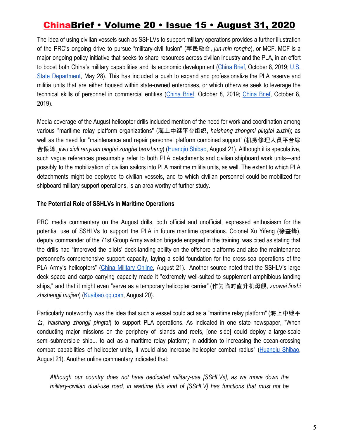The idea of using civilian vessels such as SSHLVs to support military operations provides a further illustration of the PRC's ongoing drive to pursue "military-civil fusion" (军民融合, *jun-min ronghe*), or MCF. MCF is a major ongoing policy initiative that seeks to share resources across civilian industry and the PLA, in an effort to boost both China's military capabilities and its economic development ([China](https://jamestown.org/program/military-civil-fusion-beijings-guns-and-butter-strategy-to-become-a-technological-superpower/) Brief, October 8, 2019[;](https://www.state.gov/remarks-and-releases-bureau-of-international-security-and-nonproliferation/mcf-and-the-prc/) [U.S.](https://www.state.gov/remarks-and-releases-bureau-of-international-security-and-nonproliferation/mcf-and-the-prc/) State [Department,](https://www.state.gov/remarks-and-releases-bureau-of-international-security-and-nonproliferation/mcf-and-the-prc/) May 28). This has included a push to expand and professionalize the PLA reserve and militia units that are either housed within state-owned enterprises, or which otherwise seek to leverage the technical skills of personnel in commercial entities ([China](https://jamestown.org/program/the-limitations-of-military-civil-mobilization-problems-with-funding-and-clashing-interests-in-industry-based-pla-reserve-units/) Brief, October 8, 2019[;](https://jamestown.org/program/military-civil-fusion-and-electromagnetic-spectrum-management-in-the-pla/) [China](https://jamestown.org/program/military-civil-fusion-and-electromagnetic-spectrum-management-in-the-pla/) Brief, October 8, 2019).

Media coverage of the August helicopter drills included mention of the need for work and coordination among various "maritime relay platform organizations" (海上中继平台组织, *haishang zhongmi pingtai zuzhi*); as well as the need for "maintenance and repair personnel platform combined support" (机务修理人员平台综 合保障, *jiwu xiuli renyuan pingtai zonghe baozhang*) [\(Huanqiu](https://mil.huanqiu.com/article/3zYKXSaaEBI) Shibao, August 21). Although it is speculative, such vague references presumably refer to both PLA detachments and civilian shipboard work units—and possibly to the mobilization of civilian sailors into PLA maritime militia units, as well. The extent to which PLA detachments might be deployed to civilian vessels, and to which civilian personnel could be mobilized for shipboard military support operations, is an area worthy of further study.

#### **The Potential Role of SSHLVs in Maritime Operations**

PRC media commentary on the August drills, both official and unofficial, expressed enthusiasm for the potential use of SSHLVs to support the PLA in future maritime operations. Colonel Xu Yifeng (徐益锋), deputy commander of the 71st Group Army aviation brigade engaged in the training, was cited as stating that the drills had "improved the pilots' deck-landing ability on the offshore platforms and also the maintenance personnel's comprehensive support capacity, laying a solid foundation for the cross-sea operations of the PLA Army's helicopters" (China [Military](http://english.chinamil.com.cn/view/2020-08/21/content_9887106.htm) Online, August 21). Another source noted that the SSHLV's large deck space and cargo carrying capacity made it "extremely well-suited to supplement amphibious landing ships," and that it might even "serve as a temporary helicopter carrier" (作为临时直升机母舰, *zuowei linshi zhishengji mujian*) ([Kuaibao.qq.com,](https://kuaibao.qq.com/s/20200820A0633L00) August 20).

Particularly noteworthy was the idea that such a vessel could act as a "maritime relay platform" (海上中继平 台, *haishang zhongji pingtai*) to support PLA operations. As indicated in one state newspaper, "When conducting major missions on the periphery of islands and reefs, [one side] could deploy a large-scale semi-submersible ship... to act as a maritime relay platform; in addition to increasing the ocean-crossing combat capabilities of helicopter units, it would also increase helicopter combat radius" ([Huanqiu](https://mil.huanqiu.com/article/3zYKXSaaEBI) Shibao, August 21). Another online commentary indicated that:

*Although our country does not have dedicated military-use [SSHLVs], as we move down the military-civilian dual-use road, in wartime this kind of [SSHLV] has functions that must not be*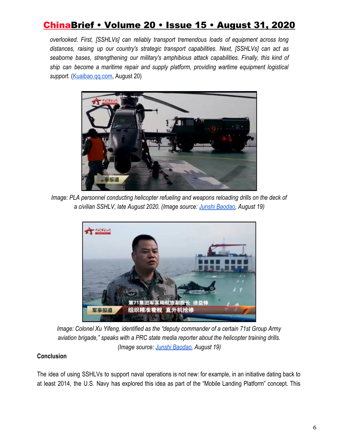*overlooked. First, [SSHLVs] can reliably transport tremendous loads of equipment across long distances, raising up our country's strategic transport capabilities. Next, [SSHLVs] can act as seaborne bases, strengthening our military's amphibious attack capabilities. Finally, this kind of ship can become a maritime repair and supply platform, providing wartime equipment logistical support.* ([Kuaibao.qq.com,](https://kuaibao.qq.com/s/20200820A0633L00) August 20)



*Image: PLA personnel conducting helicopter refueling and weapons reloading drills on the deck of a civilian SSHLV, late August 2020. (Image source: [Junshi Baodao](http://www.js7tv.cn/video/202008_227039.html), August 19)*



*Image: Colonel Xu Yifeng, identified as the "deputy commander of a certain 71st Group Army aviation brigade," speaks with a PRC state media reporter about the helicopter training drills. (Image source[:](http://www.js7tv.cn/video/202008_227039.html) [Junshi Baodao,](http://www.js7tv.cn/video/202008_227039.html) August 19)*

### **Conclusion**

The idea of using SSHLVs to support naval operations is not new: for example, in an initiative dating back to at least 2014, the U.S. Navy has explored this idea as part of the "Mobile Landing Platform" concept. This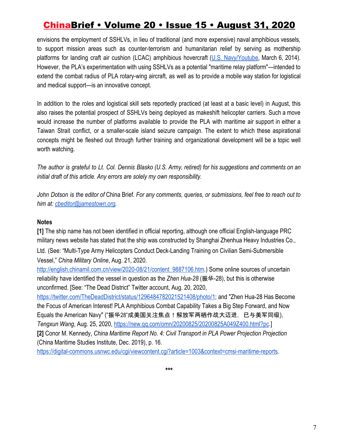envisions the employment of SSHLVs, in lieu of traditional (and more expensive) naval amphibious vessels, to support mission areas such as counter-terrorism and humanitarian relief by serving as mothership platforms for landing craft air cushion (LCAC) amphibious hovercraft (U.S. [Navy/Youtube](https://www.youtube.com/watch?v=P4t09cruL40), March 6, 2014). However, the PLA's experimentation with using SSHLVs as a potential "maritime relay platform"—intended to extend the combat radius of PLA rotary-wing aircraft, as well as to provide a mobile way station for logistical and medical support—is an innovative concept.

In addition to the roles and logistical skill sets reportedly practiced (at least at a basic level) in August, this also raises the potential prospect of SSHLVs being deployed as makeshift helicopter carriers. Such a move would increase the number of platforms available to provide the PLA with maritime air support in either a Taiwan Strait conflict, or a smaller-scale island seizure campaign. The extent to which these aspirational concepts might be fleshed out through further training and organizational development will be a topic well worth watching.

The author is grateful to Lt. Col. Dennis Blasko (U.S. Army, retired) for his suggestions and comments on an *initial draft of this article. Any errors are solely my own responsibility.*

John Dotson is the editor of China Brief. For any comments, queries, or submissions, feel free to reach out to *him at: [cbeditor@jamestown.org](mailto:cbeditor@jamestown.org).*

#### **Notes**

**[1]** The ship name has not been identified in official reporting, although one official English-language PRC military news website has stated that the ship was constructed by Shanghai Zhenhua Heavy Industries Co.,

Ltd. (See: "Multi-Type Army Helicopters Conduct Deck-Landing Training on Civilian Semi-Submersible Vessel," *China Military Online*, Aug. 21, 2020.

[http://english.chinamil.com.cn/view/2020-08/21/content\\_9887106.htm.](http://english.chinamil.com.cn/view/2020-08/21/content_9887106.htm)) Some online sources of uncertain reliability have identified the vessel in question as the *Zhen Hua-28* (振华-28), but this is otherwise unconfirmed. [See: "The Dead District" Twitter account, Aug. 20, 2020,

<https://twitter.com/TheDeadDistrict/status/1296484782021521408/photo/1>; and "Zhen Hua-28 Has Become the Focus of American Interest! PLA Amphibious Combat Capability Takes a Big Step Forward, and Now Equals the American Navy" ("振华28"成美国关注焦点!解放军两栖作战大迈进,已与美军同级), *Tengxun Wang*, Aug. 25, 2020[,](https://new.qq.com/omn/20200825/20200825A049Z400.html?pc) <https://new.qq.com/omn/20200825/20200825A049Z400.html?pc>.] **[2]** Conor M. Kennedy, *China Maritime Report No. 4: Civil Transport in PLA Power Projection Projection* (China Maritime Studies Institute, Dec. 2019), p. 16.

[https://digital-commons.usnwc.edu/cgi/viewcontent.cgi?article=1003&context=cmsi-maritime-reports.](https://digital-commons.usnwc.edu/cgi/viewcontent.cgi?article=1003&context=cmsi-maritime-reports)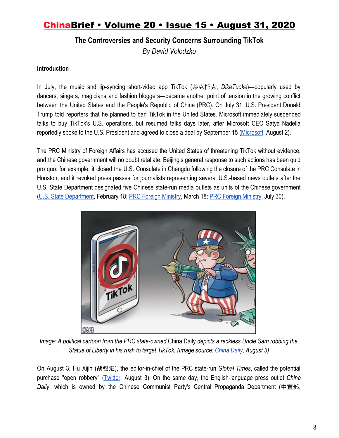**The Controversies and Security Concerns Surrounding TikTok**

*By David Volodzko*

#### **Introduction**

In July, the music and lip-syncing short-video app TikTok (蒂克托克, *DikeTuoke*)—popularly used by dancers, singers, magicians and fashion bloggers—became another point of tension in the growing conflict between the United States and the People's Republic of China (PRC). On July 31, U.S. President Donald Trump told reporters that he planned to ban TikTok in the United States. Microsoft immediately suspended talks to buy TikTok's U.S. operations, but resumed talks days later, after Microsoft CEO Satya Nadella reportedly spoke to the U.S. President and agreed to close a deal by September 15 ([Microsoft,](https://blogs.microsoft.com/blog/2020/08/02/microsoft-to-continue-discussions-on-potential-tiktok-purchase-in-the-united-states/) August 2).

The PRC Ministry of Foreign Affairs has accused the United States of threatening TikTok without evidence, and the Chinese government will no doubt retaliate. Beijing's general response to such actions has been quid pro quo: for example, it closed the U.S. Consulate in Chengdu following the closure of the PRC Consulate in Houston, and it revoked press passes for journalists representing several U.S.-based news outlets after the U.S. State Department designated five Chinese state-run media outlets as units of the Chinese government [\(U.S. State Department,](https://www.state.gov/senior-state-department-officials-on-the-office-of-foreign-missions-designation-of-chinese-media-entities-as-foreign-missions/) February 18; [PRC Foreign Ministry,](https://www.fmprc.gov.cn/mfa_eng/xwfw_665399/s2510_665401/t1757162.shtml) March 18; [PRC Foreign Ministry](https://www.fmprc.gov.cn/mfa_eng/xwfw_665399/s2510_665401/2511_665403/t1802627.shtml), July 30).



*Image: A political cartoon from the PRC state-owned* China Daily *depicts a reckless Uncle Sam robbing the Statue of Liberty in his rush to target TikTok. (Image source: [China Daily,](http://www.chinadaily.com.cn/a/202008/03/WS5f2810e3a31083481725de72.html) August 3)*

On August 3, Hu Xijin (胡锡进), the editor-in-chief of the PRC state-run *Global Times*, called the potential purchase "open robbery" ([Twitter,](https://twitter.com/HuXijin_GT/status/1290457300298334217) August 3). On the same day, the English-language press outlet *China Daily*, which is owned by the Chinese Communist Party's Central Propaganda Department (中宣部,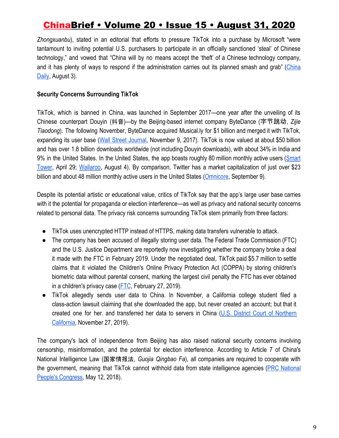*Zhongxuanbu*), stated in an editorial that efforts to pressure TikTok into a purchase by Microsoft "were tantamount to inviting potential U.S. purchasers to participate in an officially sanctioned 'steal' of Chinese technology," and vowed that "China will by no means accept the 'theft' of a Chinese technology company, and it has plenty of ways to respond if the administration carries out its planned smash and grab" ([China](http://www.chinadaily.com.cn/a/202008/03/WS5f2810e3a31083481725de72.html) [Daily](http://www.chinadaily.com.cn/a/202008/03/WS5f2810e3a31083481725de72.html), August 3).

#### **Security Concerns Surrounding TikTok**

TikTok, which is banned in China, was launched in September 2017—one year after the unveiling of its Chinese counterpart Douyin (抖音)—by the Beijing-based internet company ByteDance (字节跳动, *Zijie Tiaodong*). The following November, ByteDance acquired Musical.ly for \$1 billion and merged it with TikTok, expanding its user base (Wall Street [Journal,](https://www.wsj.com/articles/lip-syncing-app-musical-ly-is-acquired-for-as-much-as-1-billion-1510278123) November 9, 2017). TikTok is now valued at about \$50 billion and has over 1.8 billion downloads worldwide (not including Douyin downloads), with about 34% in India and 9% in the United States. In the United States, the app boasts roughly 80 million monthly active users ([Smart](https://sensortower.com/blog/tiktok-downloads-2-billion) [Tower](https://sensortower.com/blog/tiktok-downloads-2-billion), April 29; [Wallaroo,](https://wallaroomedia.com/blog/social-media/tiktok-statistics/#:~:text=U.S.%20Audience%20%E2%80%93%20As%20we%20mentioned,between%20the%20ages%2025%2D44.) August 4). By comparison, Twitter has a market capitalization of just over \$23 billion and about 48 million monthly active users in the United States ([Omnicore](https://www.omnicoreagency.com/twitter-statistics/#:~:text=There%20are%2048.35%20million%20monthly,monetizable%20daily%20active%20Twitter%20users.), September 9).

Despite its potential artistic or educational value, critics of TikTok say that the app's large user base carries with it the potential for propaganda or election interference—as well as privacy and national security concerns related to personal data. The privacy risk concerns surrounding TikTok stem primarily from three factors:

- TikTok uses unencrypted HTTP instead of HTTPS, making data transfers vulnerable to attack.
- The company has been accused of illegally storing user data. The Federal Trade Commission (FTC) and the U.S. Justice Department are reportedly now investigating whether the company broke a deal it made with the FTC in February 2019. Under the negotiated deal, TikTok paid \$5.7 million to settle claims that it violated the Children's Online Privacy Protection Act (COPPA) by storing children's biometric data without parental consent, marking the largest civil penalty the FTC has ever obtained in a children's privacy case  $(FTC,$  $(FTC,$  $(FTC,$  February 27, 2019).
- TikTok allegedly sends user data to China. In November, a California college student filed a class-action lawsuit claiming that she downloaded the app, but never created an account; but that it created one for her. and transferred her data to servers in China (U.S. District Court of [Northern](https://www.courthousenews.com/wp-content/uploads/2019/12/Tiktok.pdf) [California,](https://www.courthousenews.com/wp-content/uploads/2019/12/Tiktok.pdf) November 27, 2019).

The company's lack of independence from Beijing has also raised national security concerns involving censorship, misinformation, and the potential for election interference. According to Article 7 of China's National Intelligence Law (国家情报法, *Guojia Qingbao Fa*), all companies are required to cooperate with the government, meaning that TikTok cannot withhold data from state intelligence agencies (PRC [National](http://www.npc.gov.cn/npc/c30834/201806/483221713dac4f31bda7f9d951108912.shtml) [People's Congress](http://www.npc.gov.cn/npc/c30834/201806/483221713dac4f31bda7f9d951108912.shtml), May 12, 2018).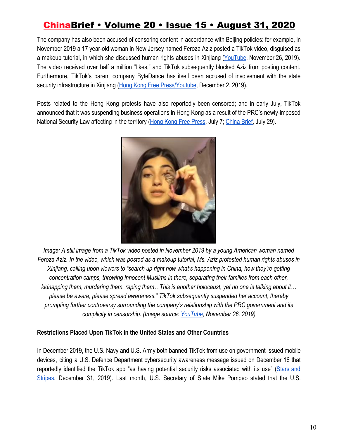The company has also been accused of censoring content in accordance with Beijing policies: for example, in November 2019 a 17 year-old woman in New Jersey named Feroza Aziz posted a TikTok video, disguised as a makeup tutorial, in which she discussed human rights abuses in Xinjiang [\(YouTube,](https://www.youtube.com/watch?v=EcqfCgCCLDk) November 26, 2019). The video received over half a million "likes," and TikTok subsequently blocked Aziz from posting content. Furthermore, TikTok's parent company ByteDance has itself been accused of involvement with the state security infrastructure in Xinjiang [\(Hong Kong Free Press/Youtube,](https://www.youtube.com/watch?v=EzKWi0qBSUs) December 2, 2019).

Posts related to the Hong Kong protests have also reportedly been censored; and in early July, TikTok announced that it was suspending business operations in Hong Kong as a result of the PRC's newly-imposed National Security Law affecting in the territory ([Hong Kong Free Press](https://hongkongfp.com/2020/07/07/tiktok-pulls-out-of-hong-kong-after-new-security-law/), July 7; [China Brief,](https://jamestown.org/program/beijing-imposes-its-new-national-security-law-on-hong-kong-updated/) July 29).



*Image: A still image from a TikTok video posted in November 2019 by a young American woman named Feroza Aziz. In the video, which was posted as a makeup tutorial, Ms. Aziz protested human rights abuses in Xinjiang, calling upon viewers to "search up right now what's happening in China, how they're getting concentration camps, throwing innocent Muslims in there, separating their families from each other, kidnapping them, murdering them, raping them…This is another holocaust, yet no one is talking about it… please be aware, please spread awareness." TikTok subsequently suspended her account, thereby prompting further controversy surrounding the company's relationship with the PRC government and its complicity in censorship. (Image source: [YouTube,](https://www.youtube.com/watch?v=EcqfCgCCLDk) November 26, 2019)*

#### **Restrictions Placed Upon TikTok in the United States and Other Countries**

In December 2019, the U.S. Navy and U.S. Army both banned TikTok from use on government-issued mobile devices, citing a U.S. Defence Department cybersecurity awareness message issued on December 16 that reportedly identified the TikTok app "as having potential security risks associated with its use" ([Stars](https://www.stripes.com/news/us/army-bans-tiktok-on-military-devices-signaling-growing-concern-about-app-s-chinese-roots-1.613087) and [Stripes,](https://www.stripes.com/news/us/army-bans-tiktok-on-military-devices-signaling-growing-concern-about-app-s-chinese-roots-1.613087) December 31, 2019). Last month, U.S. Secretary of State Mike Pompeo stated that the U.S.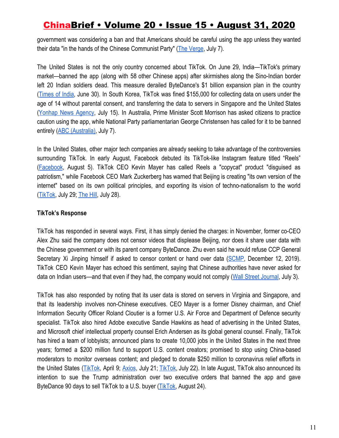government was considering a ban and that Americans should be careful using the app unless they wanted their data "in the hands of the Chinese Communist Party" ([The Verge,](https://www.theverge.com/2020/7/7/21316062/tiktok-ban-app-mike-pompeo-government-china-bytedance-communist-party) July 7).

The United States is not the only country concerned about TikTok. On June 29, India—TikTok's primary market—banned the app (along with 58 other Chinese apps) after skirmishes along the Sino-Indian border left 20 Indian soldiers dead. This measure derailed ByteDance's \$1 billion expansion plan in the country [\(Times](https://timesofindia.indiatimes.com/business/india-business/chinese-apps-banned-in-india-tiktok-uc-browser-among-59-chinese-apps-blocked-as-threat-to-sovereignty/articleshow/76699679.cms) of India, June 30). In South Korea, TikTok was fined \$155,000 for collecting data on users under the age of 14 without parental consent, and transferring the data to servers in Singapore and the United States [\(Yonhap](https://en.yna.co.kr/view/AEN20200715004600320) News Agency, July 15). In Australia, Prime Minister Scott Morrison has asked citizens to practice caution using the app, while National Party parliamentarian George Christensen has called for it to be banned entirely ([ABC \(Australia\)](https://www.abc.net.au/news/science/2020-07-08/tiktok-national-safety-china-social-media-ban/12434308), July 7).

In the United States, other major tech companies are already seeking to take advantage of the controversies surrounding TikTok. In early August, Facebook debuted its TikTok-like Instagram feature titled "Reels" [\(Facebook](https://about.fb.com/news/2020/08/introducing-instagram-reels/), August 5). TikTok CEO Kevin Mayer has called Reels a "copycat" product "disguised as patriotism," while Facebook CEO Mark Zuckerberg has warned that Beijing is creating "its own version of the internet" based on its own political principles, and exporting its vision of techno-nationalism to the world [\(TikTok,](https://newsroom.tiktok.com/en-us/fair-competition-and-transparency-benefits-us-all) July 29; [The Hill,](https://thehill.com/policy/technology/509461-zuckerberg-to-paint-facebook-as-proudly-american-company-contrast-with) July 28).

### **TikTok's Response**

TikTok has responded in several ways. First, it has simply denied the charges: in November, former co-CEO Alex Zhu said the company does not censor videos that displease Beijing, nor does it share user data with the Chinese government or with its parent company ByteDance. Zhu even said he would refuse CCP General Secretary Xi Jinping himself if asked to censor content or hand over data [\(SCMP,](https://www.scmp.com/magazines/style/tech-design/article/3041767/who-tiktok-chief-alex-zhu-new-head-gen-zs-favourite) December 12, 2019). TikTok CEO Kevin Mayer has echoed this sentiment, saying that Chinese authorities have never asked for data on Indian users—and that even if they had, the company would not comply ([Wall Street Journal](https://www.wsj.com/articles/tiktok-tackles-india-app-ban-vowing-its-no-tool-for-beijing-11593760521), July 3).

TikTok has also responded by noting that its user data is stored on servers in Virginia and Singapore, and that its leadership involves non-Chinese executives. CEO Mayer is a former Disney chairman, and Chief Information Security Officer Roland Cloutier is a former U.S. Air Force and Department of Defence security specialist. TikTok also hired Adobe executive Sandie Hawkins as head of advertising in the United States, and Microsoft chief intellectual property counsel Erich Andersen as its global general counsel. Finally, TikTok has hired a team of lobbyists; announced plans to create 10,000 jobs in the United States in the next three years; formed a \$200 million fund to support U.S. content creators; promised to stop using China-based moderators to monitor overseas content; and pledged to donate \$250 million to coronavirus relief efforts in the United States ([TikTok](https://newsroom.tiktok.com/en-us/our-commitment-to-covid-19-relief-efforts), April 9; [Axios](https://www.axios.com/tiktok-plans-to-add-10000-jobs-963c6ee4-9dbf-431f-9ac8-1bb381855df4.html), July 21; [TikTok,](https://newsroom.tiktok.com/en-us/introducing-the-200-million-tiktok-creator-fund) July 22). In late August, TikTok also announced its intention to sue the Trump administration over two executive orders that banned the app and gave ByteDance 90 days to sell TikTok to a U.S. buyer [\(TikTok,](https://newsroom.tiktok.com/en-us/tiktok-files-lawsuit) August 24).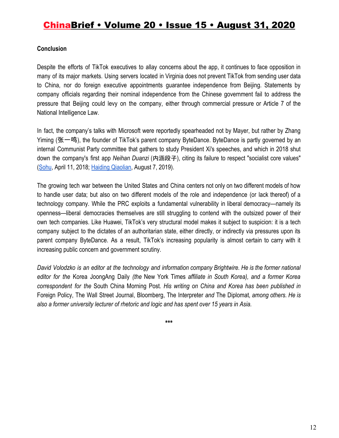#### **Conclusion**

Despite the efforts of TikTok executives to allay concerns about the app, it continues to face opposition in many of its major markets. Using servers located in Virginia does not prevent TikTok from sending user data to China, nor do foreign executive appointments guarantee independence from Beijing. Statements by company officials regarding their nominal independence from the Chinese government fail to address the pressure that Beijing could levy on the company, either through commercial pressure or Article 7 of the National Intelligence Law.

In fact, the company's talks with Microsoft were reportedly spearheaded not by Mayer, but rather by Zhang Yiming (张一鸣), the founder of TikTok's parent company ByteDance. ByteDance is partly governed by an internal Communist Party committee that gathers to study President Xi's speeches, and which in 2018 shut down the company's first app *Neihan Duanzi* (内涵段子), citing its failure to respect "socialist core values" [\(Sohu](https://www.sohu.com/a/227896848_115565), April 11, 2018[;](http://hdql.bjhd.gov.cn/ztjj/srkzddqzlxjysjhd/201908/t20190807_4341324.htm) [Haiding Qiaolian](http://hdql.bjhd.gov.cn/ztjj/srkzddqzlxjysjhd/201908/t20190807_4341324.htm), August 7, 2019).

The growing tech war between the United States and China centers not only on two different models of how to handle user data; but also on two different models of the role and independence (or lack thereof) of a technology company. While the PRC exploits a fundamental vulnerability in liberal democracy—namely its openness—liberal democracies themselves are still struggling to contend with the outsized power of their own tech companies. Like Huawei, TikTok's very structural model makes it subject to suspicion: it is a tech company subject to the dictates of an authoritarian state, either directly, or indirectly via pressures upon its parent company ByteDance. As a result, TikTok's increasing popularity is almost certain to carry with it increasing public concern and government scrutiny.

David Volodzko is an editor at the technology and information company Brightwire. He is the former national *editor for the* Korea JoongAng Daily *(the* New York Times *affiliate in South Korea), and a former Korea correspondent for the* South China Morning Post*. His writing on China and Korea has been published in* Foreign Policy, The Wall Street Journal, Bloomberg, The Interpreter *and* The Diplomat*, among others. He is also a former university lecturer of rhetoric and logic and has spent over 15 years in Asia.*

**\*\*\***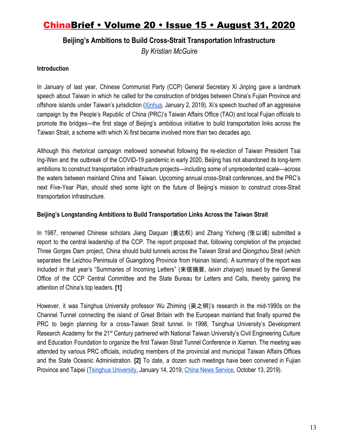### **Beijing's Ambitions to Build Cross-Strait Transportation Infrastructure**

*By Kristian McGuire*

### **Introduction**

In January of last year, Chinese Communist Party (CCP) General Secretary Xi Jinping gave a landmark speech about Taiwan in which he called for the construction of bridges between China's Fujian Province and offshore islands under Taiwan's jurisdiction [\(Xinhua](http://www.xinhuanet.com/politics/leaders/2019-01/02/c_1123937757.htm), January 2, 2019). Xi's speech touched off an aggressive campaign by the People's Republic of China (PRC)'s Taiwan Affairs Office (TAO) and local Fujian officials to promote the bridges—the first stage of Beijing's ambitious initiative to build transportation links across the Taiwan Strait, a scheme with which Xi first became involved more than two decades ago.

Although this rhetorical campaign mellowed somewhat following the re-election of Taiwan President Tsai Ing-Wen and the outbreak of the COVID-19 pandemic in early 2020, Beijing has not abandoned its long-term ambitions to construct transportation infrastructure projects—including some of unprecedented scale—across the waters between mainland China and Taiwan. Upcoming annual cross-Strait conferences, and the PRC's next Five-Year Plan, should shed some light on the future of Beijing's mission to construct cross-Strait transportation infrastructure.

#### **Beijing's Longstanding Ambitions to Build Transportation Links Across the Taiwan Strait**

In 1987, renowned Chinese scholars Jiang Daquan (姜达权) and Zhang Yicheng (张以诚) submitted a report to the central leadership of the CCP. The report proposed that, following completion of the projected Three Gorges Dam project, China should build tunnels across the Taiwan Strait and Qiongzhou Strait (which separates the Leizhou Peninsula of Guangdong Province from Hainan Island). A summary of the report was included in that year's "Summaries of Incoming Letters" (来信摘要, *laixin zhaiyao*) issued by the General Office of the CCP Central Committee and the State Bureau for Letters and Calls, thereby gaining the attention of China's top leaders. **[1]**

However, it was Tsinghua University professor Wu Zhiming (吴之明)'s research in the mid-1990s on the Channel Tunnel connecting the island of Great Britain with the European mainland that finally spurred the PRC to begin planning for a cross-Taiwan Strait tunnel. In 1998, Tsinghua University's Development Research Academy for the 21<sup>st</sup> Century partnered with National Taiwan University's Civil Engineering Culture and Education Foundation to organize the first Taiwan Strait Tunnel Conference in Xiamen. The meeting was attended by various PRC officials, including members of the provincial and municipal Taiwan Affairs Offices and the State Oceanic Administration. **[2]** To date, a dozen such meetings have been convened in Fujian Province and Taipei ([Tsinghua University,](https://news.tsinghua.edu.cn/info/1006/50265.htm) January 14, 2019; [China News Service,](http://www.chinanews.com/tw/2019/10-13/8977907.shtml) October 13, 2019).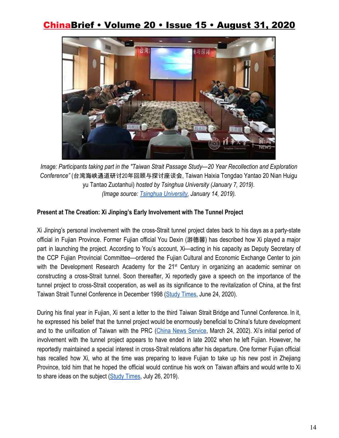

*Image: Participants taking part in the "Taiwan Strait Passage Study—20 Year Recollection and Exploration Conference"* (台湾海峡通道研讨20年回顾与探讨座谈会, Taiwan Haixia Tongdao Yantao 20 Nian Huigu yu Tantao Zuotanhui) *hosted by Tsinghua University (January 7, 2019). (Image source: [Tsinghua University,](https://news.tsinghua.edu.cn/info/1006/50265.htm) January 14, 2019).*

#### **Present at The Creation: Xi Jinping's Early Involvement with The Tunnel Project**

Xi Jinping's personal involvement with the cross-Strait tunnel project dates back to his days as a party-state official in Fujian Province. Former Fujian official You Dexin (游德馨) has described how Xi played a major part in launching the project. According to You's account, Xi—acting in his capacity as Deputy Secretary of the CCP Fujian Provincial Committee—ordered the Fujian Cultural and Economic Exchange Center to join with the Development Research Academy for the  $21<sup>st</sup>$  Century in organizing an academic seminar on constructing a cross-Strait tunnel. Soon thereafter, Xi reportedly gave a speech on the importance of the tunnel project to cross-Strait cooperation, as well as its significance to the revitalization of China, at the first Taiwan Strait Tunnel Conference in December 1998 ([Study Times,](https://www.xuexi.cn/lgpage/detail/index.html?id=10635042001009562317&item_id=10635042001009562317) June 24, 2020).

During his final year in Fujian, Xi sent a letter to the third Taiwan Strait Bridge and Tunnel Conference. In it, he expressed his belief that the tunnel project would be enormously beneficial to China's future development and to the unification of Taiwan with the PRC (China News [Service,](http://mil.news.sina.com.cn/2002-03-24/59899.html) March 24, 2002). Xi's initial period of involvement with the tunnel project appears to have ended in late 2002 when he left Fujian. However, he reportedly maintained a special interest in cross-Strait relations after his departure. One former Fujian official has recalled how Xi, who at the time was preparing to leave Fujian to take up his new post in Zhejiang Province, told him that he hoped the official would continue his work on Taiwan affairs and would write to Xi to share ideas on the subject ([Study Times,](https://mp.weixin.qq.com/s/V91ND72507YNc8gETHu7Qw) July 26, 2019).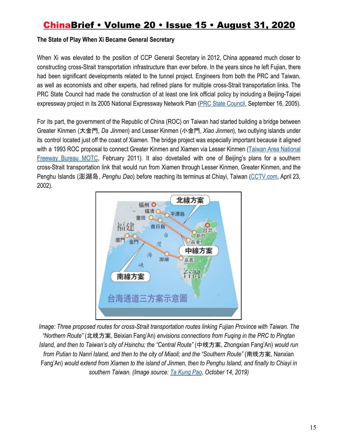### **The State of Play When Xi Became General Secretary**

When Xi was elevated to the position of CCP General Secretary in 2012, China appeared much closer to constructing cross-Strait transportation infrastructure than ever before. In the years since he left Fujian, there had been significant developments related to the tunnel project. Engineers from both the PRC and Taiwan, as well as economists and other experts, had refined plans for multiple cross-Strait transportation links. The PRC State Council had made the construction of at least one link official policy by including a Beijing-Taipei expressway project in its 2005 National Expressway Network Plan ([PRC State Council](http://www.gov.cn/ztzl/2005-09/16/content_64418.htm), September 16, 2005).

For its part, the government of the Republic of China (ROC) on Taiwan had started building a bridge between Greater Kinmen (大金門, *Da Jinmen*) and Lesser Kinmen (小金門, *Xiao Jinmen*), two outlying islands under its control located just off the coast of Xiamen. The bridge project was especially important because it aligned with a 1993 ROC proposal to connect Greater Kinmen and Xiamen via Lesser Kinmen (Taiwan Area [National](https://www.freeway.gov.tw/Upload/Html/201121128/page03.html) [Freeway](https://www.freeway.gov.tw/Upload/Html/201121128/page03.html) Bureau MOTC, February 2011). It also dovetailed with one of Beijing's plans for a southern cross-Strait transportation link that would run from Xiamen through Lesser Kinmen, Greater Kinmen, and the Penghu Islands (澎湖岛, *Penghu Dao*) before reaching its terminus at Chiayi, Taiwan [\(CCTV.com](http://www.cctv.com/lm/523/51/51098.html), April 23, 2002).



*Image: Three proposed routes for cross-Strait transportation routes linking Fujian Province with Taiwan. The "Northern Route"* (北线方案, Beixian Fang'An) *envisions connections from Fuqing in the PRC to Pingtan Island, and then to Taiwan's city of Hsinchu; the "Central Route"* (中线方案, Zhongxian Fang'An) *would run from Putian to Nanri Island, and then to the city of Miaoli; and the "Southern Route"* (南线方案, Nanxian Fang'An) *would extend from Xiamen to the island of Jinmen, then to Penghu Island, and finally to Chiayi in southern Taiwan. (Image source: [Ta Kung Pao](http://www.takungpao.com.hk/news/232110/2019/1014/361038.html), October 14, 2019)*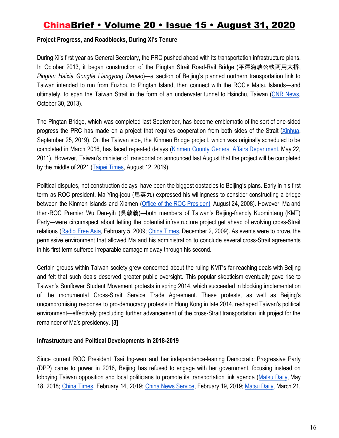### **Project Progress, and Roadblocks, During Xi's Tenure**

During Xi's first year as General Secretary, the PRC pushed ahead with its transportation infrastructure plans. In October 2013, it began construction of the Pingtan Strait Road-Rail Bridge (平潭海峡公铁两用大桥, *Pingtan Haixia Gongtie Liangyong Daqiao*)—a section of Beijing's planned northern transportation link to Taiwan intended to run from Fuzhou to Pingtan Island, then connect with the ROC's Matsu Islands—and ultimately, to span the Taiwan Strait in the form of an underwater tunnel to Hsinchu, Taiwan (CNR [News](http://china.cnr.cn/ygxw/201310/t20131030_513981327.shtml), October 30, 2013).

The Pingtan Bridge, which was completed last September, has become emblematic of the sort of one-sided progress the PRC has made on a project that requires cooperation from both sides of the Strait ([Xinhua,](http://www.xinhuanet.com/local/2019-09/25/c_1125038418.htm) September 25, 2019). On the Taiwan side, the Kinmen Bridge project, which was originally scheduled to be completed in March 2016, has faced repeated delays (Kinmen County General Affairs [Department](https://www.kinmen.gov.tw/en/News_Content.aspx?n=9A3902C9F2F1C945&sms=4BCC795D7C63BD97&s=20BFD97E8B0685AE), May 22, 2011). However, Taiwan's minister of transportation announced last August that the project will be completed by the middle of 2021 [\(Taipei Times,](https://www.taipeitimes.com/News/taiwan/archives/2019/08/12/2003720345) August 12, 2019).

Political disputes, not construction delays, have been the biggest obstacles to Beijing's plans. Early in his first term as ROC president, Ma Ying-jeou (馬英九) expressed his willingness to consider constructing a bridge between the Kinmen Islands and Xiamen (Office of the ROC [President,](https://www.president.gov.tw/NEWS/12527) August 24, 2008). However, Ma and then-ROC Premier Wu Den-yih (吳敦義)—both members of Taiwan's Beijing-friendly Kuomintang (KMT) Party—were circumspect about letting the potential infrastructure project get ahead of evolving cross-Strait relations ([Radio](https://www.rfa.org/mandarin/yataibaodao/taiwan-02052009121559.html) Free Asia, February 5, 2009; China [Times](https://www.chinatimes.com/newspapers/20091202000405-260108?chdtv), December 2, 2009). As events were to prove, the permissive environment that allowed Ma and his administration to conclude several cross-Strait agreements in his first term suffered irreparable damage midway through his second.

Certain groups within Taiwan society grew concerned about the ruling KMT's far-reaching deals with Beijing and felt that such deals deserved greater public oversight. This popular skepticism eventually gave rise to Taiwan's Sunflower Student Movement protests in spring 2014, which succeeded in blocking implementation of the monumental Cross-Strait Service Trade Agreement. These protests, as well as Beijing's uncompromising response to pro-democracy protests in Hong Kong in late 2014, reshaped Taiwan's political environment—effectively precluding further advancement of the cross-Strait transportation link project for the remainder of Ma's presidency. **[3]**

#### **Infrastructure and Political Developments in 2018-2019**

Since current ROC President Tsai Ing-wen and her independence-leaning Democratic Progressive Party (DPP) came to power in 2016, Beijing has refused to engage with her government, focusing instead on lobbying Taiwan opposition and local politicians to promote its transportation link agenda [\(Matsu](http://www.matsu-news.gov.tw/2010web/news_detail_101.php?CMD=open&UID=196179) Daily, May 18, 2018; China [Times](https://www.chinatimes.com/tube/20190214003869-261416?chdtv), February 14, 2019[;](http://www.chinanews.com/tw/2019/02-19/8759011.shtml) China News [Service](http://www.chinanews.com/tw/2019/02-19/8759011.shtml), February 19, 2019; [Matsu](http://www.matsu-news.gov.tw/2010web/news_detail_101.php?CMD=open&UID=206073) Daily, March 21,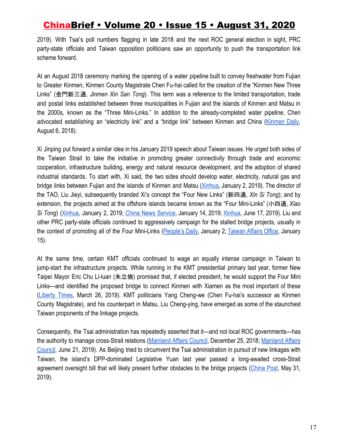2019). With Tsai's poll numbers flagging in late 2018 and the next ROC general election in sight, PRC party-state officials and Taiwan opposition politicians saw an opportunity to push the transportation link scheme forward.

At an August 2018 ceremony marking the opening of a water pipeline built to convey freshwater from Fujian to Greater Kinmen, Kinmen County Magistrate Chen Fu-hai called for the creation of the "Kinmen New Three Links" (金門新三通, *Jinmen Xin San Tong*). This term was a reference to the limited transportation, trade and postal links established between three municipalities in Fujian and the islands of Kinmen and Matsu in the 2000s, known as the "Three Mini-Links." In addition to the already-completed water pipeline, Chen advocated establishing an "electricity link" and a "bridge link" between Kinmen and China ([Kinmen](https://www.kmdn.gov.tw/1117/1271/1272/296645) Daily, August 6, 2018).

Xi Jinping put forward a similar idea in his January 2019 speech about Taiwan issues. He urged both sides of the Taiwan Strait to take the initiative in promoting greater connectivity through trade and economic cooperation, infrastructure building, energy and natural resource development, and the adoption of shared industrial standards. To start with, Xi said, the two sides should develop water, electricity, natural gas and bridge links between Fujian and the islands of Kinmen and Matsu [\(Xinhua](http://www.xinhuanet.com/politics/leaders/2019-01/02/c_1123937757.htm), January 2, 2019). The director of the TAO, Liu Jieyi, subsequently branded Xi's concept the "Four New Links" (新四通, *Xin Si Tong*); and by extension, the projects aimed at the offshore islands became known as the "Four Mini-Links" (小四通, *Xiao Si Tong*) ([Xinhua](http://www.xinhuanet.com/tw/2019-01/02/c_1123939234.htm), January 2, 2019; China News [Service,](http://www.chinanews.com/tw/2019/01-14/8728295.shtml) January 14, 2019[;](http://www.xinhuanet.com/tw/2019-06/17/c_1124635420.htm) [Xinhua](http://www.xinhuanet.com/tw/2019-06/17/c_1124635420.htm), June 17, 2019). Liu and other PRC party-state officials continued to aggressively campaign for the stalled bridge projects, usually in the context of promoting all of the Four Mini-Links ([People's](http://tw.people.com.cn/n1/2020/0102/c14657-31531260.html) Daily, January 2; [Taiwan](http://www.gwytb.gov.cn/m/speech/202001/t20200115_12233157.htm) Affairs Office, January 15).

At the same time, certain KMT officials continued to wage an equally intense campaign in Taiwan to jump-start the infrastructure projects. While running in the KMT presidential primary last year, former New Taipei Mayor Eric Chu Li-luan (朱立倫) promised that, if elected president, he would support the Four Mini Links—and identified the proposed bridge to connect Kinmen with Xiamen as the most important of these [\(Liberty](https://news.ltn.com.tw/news/politics/breakingnews/2739834) Times, March 26, 2019). KMT politicians Yang Cheng-we (Chen Fu-hai's successor as Kinmen County Magistrate), and his counterpart in Matsu, Liu Cheng-ying, have emerged as some of the staunchest Taiwan proponents of the linkage projects.

Consequently, the Tsai administration has repeatedly asserted that it—and not local ROC governments—has the authority to manage cross-Strait relations [\(Mainland](https://www.mac.gov.tw/en/News_Content.aspx?n=2BA0753CBE348412&sms=E828F60C4AFBAF90&s=ECC4496EFDB9894F) Affairs Council, December 25, 2018; [Mainland](https://www.mac.gov.tw/News_Content.aspx?n=05B73310C5C3A632&sms=1A40B00E4C745211&s=904A1474CA625D74) Affairs [Council,](https://www.mac.gov.tw/News_Content.aspx?n=05B73310C5C3A632&sms=1A40B00E4C745211&s=904A1474CA625D74) June 21, 2019). As Beijing tried to circumvent the Tsai administration in pursuit of new linkages with Taiwan, the island's DPP-dominated Legislative Yuan last year passed a long-awaited cross-Strait agreement oversight bill that will likely present further obstacles to the bridge projects [\(China](https://chinapost.nownews.com/20190531-586757) Post, May 31, 2019).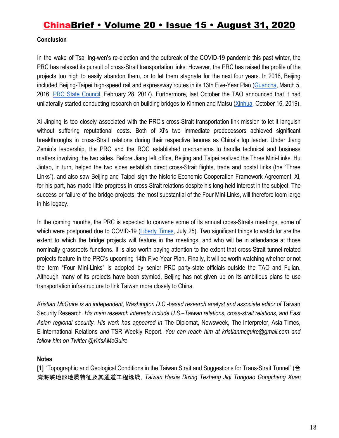### **Conclusion**

In the wake of Tsai Ing-wen's re-election and the outbreak of the COVID-19 pandemic this past winter, the PRC has relaxed its pursuit of cross-Strait transportation links. However, the PRC has raised the profile of the projects too high to easily abandon them, or to let them stagnate for the next four years. In 2016, Beijing included Beijing-Taipei high-speed rail and expressway routes in its 13th Five-Year Plan ([Guancha,](https://www.guancha.cn/Project/2016_03_05_353005.shtml) March 5, 2016; [P](http://www.gov.cn/zhengce/content/2017-02/28/content_5171345.htm)RC State [Council,](http://www.gov.cn/zhengce/content/2017-02/28/content_5171345.htm) February 28, 2017). Furthermore, last October the TAO announced that it had unilaterally started conducting research on building bridges to Kinmen and Matsu [\(Xinhua,](http://www.xinhuanet.com/english/2019-10/16/c_138476457.htm) October 16, 2019).

Xi Jinping is too closely associated with the PRC's cross-Strait transportation link mission to let it languish without suffering reputational costs. Both of Xi's two immediate predecessors achieved significant breakthroughs in cross-Strait relations during their respective tenures as China's top leader. Under Jiang Zemin's leadership, the PRC and the ROC established mechanisms to handle technical and business matters involving the two sides. Before Jiang left office, Beijing and Taipei realized the Three Mini-Links. Hu Jintao, in turn, helped the two sides establish direct cross-Strait flights, trade and postal links (the "Three Links"), and also saw Beijing and Taipei sign the historic Economic Cooperation Framework Agreement. Xi, for his part, has made little progress in cross-Strait relations despite his long-held interest in the subject. The success or failure of the bridge projects, the most substantial of the Four Mini-Links, will therefore loom large in his legacy.

In the coming months, the PRC is expected to convene some of its annual cross-Straits meetings, some of which were postponed due to COVID-19 ([Liberty](https://news.ltn.com.tw/news/politics/breakingnews/3239739) Times, July 25). Two significant things to watch for are the extent to which the bridge projects will feature in the meetings, and who will be in attendance at those nominally grassroots functions. It is also worth paying attention to the extent that cross-Strait tunnel-related projects feature in the PRC's upcoming 14th Five-Year Plan. Finally, it will be worth watching whether or not the term "Four Mini-Links" is adopted by senior PRC party-state officials outside the TAO and Fujian. Although many of its projects have been stymied, Beijing has not given up on its ambitious plans to use transportation infrastructure to link Taiwan more closely to China.

*Kristian McGuire is an independent, Washington D.C.-based research analyst and associate editor of* Taiwan Security Research*. His main research interests include U.S.–Taiwan relations, cross-strait relations, and East Asian regional security. His work has appeared in* The Diplomat, Newsweek, The Interpreter, Asia Times, E-International Relations *and* TSR Weekly Report. *You can reach him at kristianmcguire@gmail.com and follow him on Twitter @KrisAMcGuire.*

### **Notes**

**[1]** "Topographic and Geological Conditions in the Taiwan Strait and Suggestions for Trans-Strait Tunnel" (台 湾海峡地形地质特征及其通道工程选线, *Taiwan Haixia Dixing Tezheng Jiqi Tongdao Gongcheng Xuan*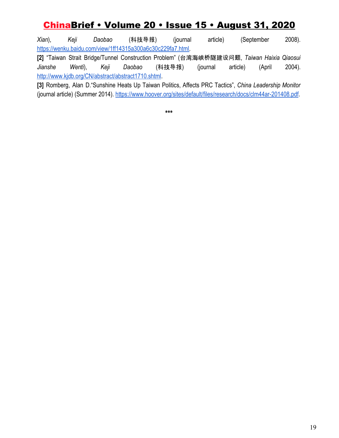*Xian*), *Keji Daobao* (科技导报) (journal article) (September 2008)[.](https://wenku.baidu.com/view/1ff14315a300a6c30c229fa7.html) [https://wenku.baidu.com/view/1ff14315a300a6c30c229fa7.html.](https://wenku.baidu.com/view/1ff14315a300a6c30c229fa7.html)

**[2]** "Taiwan Strait Bridge/Tunnel Construction Problem" (台湾海峡桥隧建设问题, *Taiwan Haixia Qiaosui Jianshe Wenti*), *Keji Daobao* (科技导报) (journal article) (April 2004)[.](http://www.kjdb.org/CN/abstract/abstract1710.shtml) <http://www.kjdb.org/CN/abstract/abstract1710.shtml>.

**[3]** Romberg, Alan D."Sunshine Heats Up Taiwan Politics, Affects PRC Tactics", *China Leadership Monitor* (journal article) (Summer 2014). <https://www.hoover.org/sites/default/files/research/docs/clm44ar-201408.pdf>.

**\*\*\***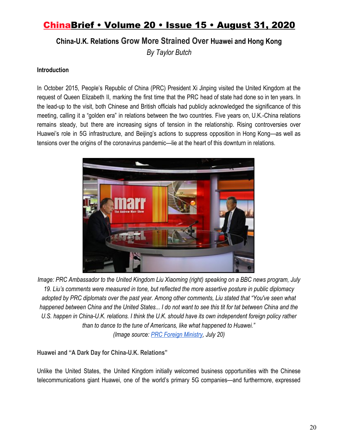**China-U.K. Relations Grow More Strained Over Huawei and Hong Kong**

*By Taylor Butch*

### **Introduction**

In October 2015, People's Republic of China (PRC) President Xi Jinping visited the United Kingdom at the request of Queen Elizabeth II, marking the first time that the PRC head of state had done so in ten years. In the lead-up to the visit, both Chinese and British officials had publicly acknowledged the significance of this meeting, calling it a "golden era" in relations between the two countries. Five years on, U.K.-China relations remains steady, but there are increasing signs of tension in the relationship. Rising controversies over Huawei's role in 5G infrastructure, and Beijing's actions to suppress opposition in Hong Kong—as well as tensions over the origins of the coronavirus pandemic—lie at the heart of this downturn in relations.



*Image: PRC Ambassador to the United Kingdom Liu Xiaoming (right) speaking on a BBC news program, July 19. Liu's comments were measured in tone, but reflected the more assertive posture in public diplomacy adopted by PRC diplomats over the past year. Among other comments, Liu stated that "You've seen what happened between China and the United States... I do not want to see this tit for tat between China and the U.S. happen in China-U.K. relations. I think the U.K. should have its own independent foreign policy rather than to dance to the tune of Americans, like what happened to Huawei." (Image source: [PRC Foreign Ministry](https://www.fmprc.gov.cn/mfa_eng/wjb_663304/zwjg_665342/zwbd_665378/t1798919.shtml), July 20)*

**Huawei and "A Dark Day for China-U.K. Relations"**

Unlike the United States, the United Kingdom initially welcomed business opportunities with the Chinese telecommunications giant Huawei, one of the world's primary 5G companies—and furthermore, expressed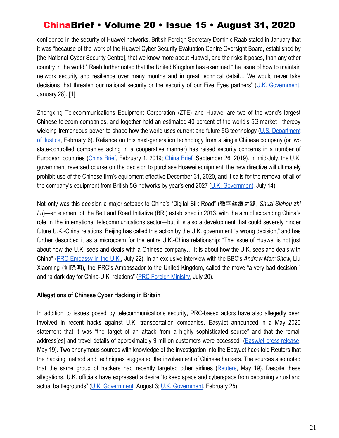confidence in the security of Huawei networks. British Foreign Secretary Dominic Raab stated in January that it was "because of the work of the Huawei Cyber Security Evaluation Centre Oversight Board, established by [the National Cyber Security Centre], that we know more about Huawei, and the risks it poses, than any other country in the world." Raab further noted that the United Kingdom has examined "the issue of how to maintain network security and resilience over many months and in great technical detail… We would never take decisions that threaten our national security or the security of our Five Eyes partners" (U.K. [Government](https://www.gov.uk/government/speeches/foreign-secretary-statement-on-huawei), January 28). **[1]**

Zhongxing Telecommunications Equipment Corporation (ZTE) and Huawei are two of the world's largest Chinese telecom companies, and together hold an estimated 40 percent of the world's 5G market—thereby wielding tremendous power to shape how the world uses current and future 5G technology (U.S. [Department](https://www.justice.gov/opa/speech/attorney-general-william-p-barr-delivers-keynote-address-department-justices-china) of [Justice,](https://www.justice.gov/opa/speech/attorney-general-william-p-barr-delivers-keynote-address-department-justices-china) February 6). Reliance on this next-generation technology from a single Chinese company (or two state-controlled companies acting in a cooperative manner) has raised security concerns in a number of European countries ([China](https://jamestown.org/program/arrests-in-poland-contribute-to-the-international-controversies-surrounding-huawei/) Brief, February 1, 2019; [China](https://jamestown.org/program/not-really-probing-the-east-romanias-position-on-chinese-investments/) Brief, September 26, 2019). In mid-July, the U.K. government reversed course on the decision to purchase Huawei equipment: the new directive will ultimately prohibit use of the Chinese firm's equipment effective December 31, 2020, and it calls for the removal of all of the company's equipment from British 5G networks by year's end 2027 ([U.K. Government,](https://www.gov.uk/government/news/huawei-to-be-removed-from-uk-5g-networks-by-2027) July 14).

Not only was this decision a major setback to China's "Digital Silk Road" (数字丝绸之路, *Shuzi Sichou zhi Lu*)—an element of the Belt and Road Initiative (BRI) established in 2013, with the aim of expanding China's role in the international telecommunications sector—but it is also a development that could severely hinder future U.K.-China relations. Beijing has called this action by the U.K. government "a wrong decision," and has further described it as a microcosm for the entire U.K.-China relationship: "The issue of Huawei is not just about how the U.K. sees and deals with a Chinese company… It is about how the U.K. sees and deals with China" (PRC [Embassy](http://www.chinese-embassy.org.uk/eng/dshdjjh/t1799982.htm) in the U.K., July 22). In an exclusive interview with the BBC's *Andrew Marr Show*, Liu Xiaoming (刘晓明), the PRC's Ambassador to the United Kingdom, called the move "a very bad decision," and "a dark day for China-U.K. relations" (**[PRC Foreign Ministry,](https://www.fmprc.gov.cn/mfa_eng/wjb_663304/zwjg_665342/zwbd_665378/t1798919.shtml) July 20**).

#### **Allegations of Chinese Cyber Hacking in Britain**

In addition to issues posed by telecommunications security, PRC-based actors have also allegedly been involved in recent hacks against U.K. transportation companies. EasyJet announced in a May 2020 statement that it was "the target of an attack from a highly sophisticated source" and that the "email address[es] and travel details of approximately 9 million customers were accessed" [\(EasyJet](https://otp.investis.com/clients/uk/easyjet1/rns/regulatory-story.aspx?cid=2&newsid=1391756) press release, May 19). Two anonymous sources with knowledge of the investigation into the EasyJet hack told Reuters that the hacking method and techniques suggested the involvement of Chinese hackers. The sources also noted that the same group of hackers had recently targeted other airlines ([Reuters,](https://www.reuters.com/article/us-easyjet-cyber/chinese-hackers-suspected-of-stealing-details-of-9-million-easyjet-customers-idUSKBN22V1JF) May 19). Despite these allegations, U.K. officials have expressed a desire "to keep space and cyberspace from becoming virtual and actual battlegrounds" ([U.K. Government,](https://www.gov.uk/government/case-studies/uk-china-cooperation-on-intellectual-property) August 3; [U.K. Government,](https://www.gov.uk/government/speeches/uk-china-in-2019-how-can-diplomacy-rise-to-the-challenges-of-the-21st-century) February 25).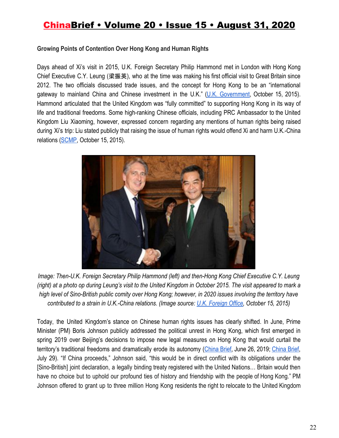#### **Growing Points of Contention Over Hong Kong and Human Rights**

Days ahead of Xi's visit in 2015, U.K. Foreign Secretary Philip Hammond met in London with Hong Kong Chief Executive C.Y. Leung (梁振英), who at the time was making his first official visit to Great Britain since 2012. The two officials discussed trade issues, and the concept for Hong Kong to be an "international gateway to mainland China and Chinese investment in the U.K." (U.K. [Government,](https://www.gov.uk/government/news/foreign-secretary-meets-hong-kong-chief-executive-in-london) October 15, 2015). Hammond articulated that the United Kingdom was "fully committed" to supporting Hong Kong in its way of life and traditional freedoms. Some high-ranking Chinese officials, including PRC Ambassador to the United Kingdom Liu Xiaoming, however, expressed concern regarding any mentions of human rights being raised during Xi's trip: Liu stated publicly that raising the issue of human rights would offend Xi and harm U.K.-China relations [\(SCMP,](https://www.scmp.com/news/china/diplomacy-defence/article/1868255/dont-interfere-chinese-ambassador-warns-uk-not-raise) October 15, 2015).



*Image: Then-U.K. Foreign Secretary Philip Hammond (left) and then-Hong Kong Chief Executive C.Y. Leung (right) at a photo op during Leung's visit to the United Kingdom in October 2015. The visit appeared to mark a high level of Sino-British public comity over Hong Kong; however, in 2020 issues involving the territory have contributed to a strain in U.K.-China relations. (Image source: [U.K. Foreign Office](https://www.gov.uk/government/news/foreign-secretary-meets-hong-kong-chief-executive-in-london), October 15, 2015)*

Today, the United Kingdom's stance on Chinese human rights issues has clearly shifted. In June, Prime Minister (PM) Boris Johnson publicly addressed the political unrest in Hong Kong, which first emerged in spring 2019 over Beijing's decisions to impose new legal measures on Hong Kong that would curtail the territory's traditional freedoms and dramatically erode its autonomy ([China](https://jamestown.org/program/hong-kongs-crisis-and-prospects-for-the-pro-democracy-movement/) Brief, June 26, 2019; [China](https://jamestown.org/program/beijing-imposes-its-new-national-security-law-on-hong-kong-updated/) Brief, July 29). "If China proceeds," Johnson said, "this would be in direct conflict with its obligations under the [Sino-British] joint declaration, a legally binding treaty registered with the United Nations… Britain would then have no choice but to uphold our profound ties of history and friendship with the people of Hong Kong." PM Johnson offered to grant up to three million Hong Kong residents the right to relocate to the United Kingdom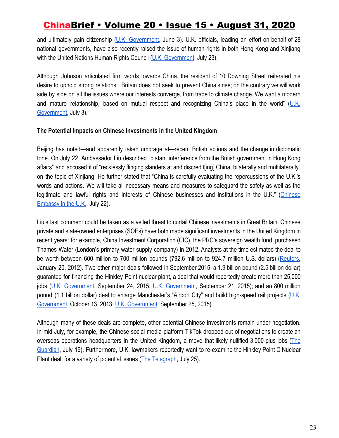and ultimately gain citizenship (U.K. [Government](https://www.gov.uk/government/speeches/pm-boris-johnson-article-on-hong-kong-3-june-2020), June 3). U.K. officials, leading an effort on behalf of 28 national governments, have also recently raised the issue of human rights in both Hong Kong and Xinjiang with the United Nations Human Rights Council [\(U.K. Government,](https://www.gov.uk/government/speeches/un-human-rights-council-44-uks-closing-statement) July 23).

Although Johnson articulated firm words towards China, the resident of 10 Downing Street reiterated his desire to uphold strong relations: "Britain does not seek to prevent China's rise; on the contrary we will work side by side on all the issues where our interests converge, from trade to climate change. We want a modern and mature relationship, based on mutual respect and recognizing China's place in the world" ([U.K.](https://www.gov.uk/government/speeches/pm-boris-johnson-article-on-hong-kong-3-june-2020) [Government,](https://www.gov.uk/government/speeches/pm-boris-johnson-article-on-hong-kong-3-june-2020) July 3).

#### **The Potential Impacts on Chinese Investments in the United Kingdom**

Beijing has noted—and apparently taken umbrage at—recent British actions and the change in diplomatic tone. On July 22, Ambassador Liu described "blatant interference from the British government in Hong Kong affairs" and accused it of "recklessly flinging slanders at and discredit[ing] China, bilaterally and multilaterally" on the topic of Xinjiang. He further stated that "China is carefully evaluating the repercussions of the U.K.'s words and actions. We will take all necessary means and measures to safeguard the safety as well as the legitimate and lawful rights and interests of Chinese businesses and institutions in the U.K." ([Chinese](http://www.chinese-embassy.org.uk/eng/dshdjjh/t1799982.htm) [Embassy in the U.K.](http://www.chinese-embassy.org.uk/eng/dshdjjh/t1799982.htm), July 22).

Liu's last comment could be taken as a veiled threat to curtail Chinese investments in Great Britain. Chinese private and state-owned enterprises (SOEs) have both made significant investments in the United Kingdom in recent years: for example, China Investment Corporation (CIC), the PRC's sovereign wealth fund, purchased Thames Water (London's primary water supply company) in 2012. Analysts at the time estimated the deal to be worth between 600 million to 700 million pounds (792.6 million to 924.7 million U.S. dollars) ([Reuters](https://www.reuters.com/article/cic-thameswater/update-2-china-buys-into-thames-water-as-uk-courts-investors-idUSL6E8CK06M20120120), January 20, 2012). Two other major deals followed in September 2015: a 1.9 billion pound (2.5 billion dollar) guarantee for financing the Hinkley Point nuclear plant, a deal that would reportedly create more than 25,000 jobs (U.K. [Government](https://www.gov.uk/government/news/chancellor-opens-book-on-more-than-24-billion-of-northern-powerhouse-investment-opportunities-in-china), September 24, 2015; U.K. [Government,](https://www.gov.uk/government/news/2-billion-support-for-hinkley-point-c) September 21, 2015); and an 800 million pound (1.1 billion dollar) deal to enlarge Manchester's "Airport City" and build high-speed rail projects [\(U.K.](https://www.gov.uk/government/news/joint-british-chinese-partners-to-construct-new-800-million-manchester-airport-city) [Government,](https://www.gov.uk/government/news/joint-british-chinese-partners-to-construct-new-800-million-manchester-airport-city) October 13, 2013; [U.K. Government](https://www.gov.uk/government/speeches/chancellor-speech-in-chengdu-china-on-building-a-northern-powerhouse), September 25, 2015).

Although many of these deals are complete, other potential Chinese investments remain under negotiation. In mid-July, for example, the Chinese social media platform TikTok dropped out of negotiations to create an overseas operations headquarters in the United Kingdom, a move that likely nullified 3,000-plus jobs [\(The](https://www.theguardian.com/technology/2020/jul/19/tiktok-halts-talks-on-london-headquarters-amid-uk-china-tensions) [Guardian](https://www.theguardian.com/technology/2020/jul/19/tiktok-halts-talks-on-london-headquarters-amid-uk-china-tensions), July 19). Furthermore, U.K. lawmakers reportedly want to re-examine the Hinkley Point C Nuclear Plant deal, for a variety of potential issues [\(The Telegraph,](https://www.telegraph.co.uk/business/2020/07/25/tories-demand-review-chinese-involvement-hinkley-nuclear-site/) July 25).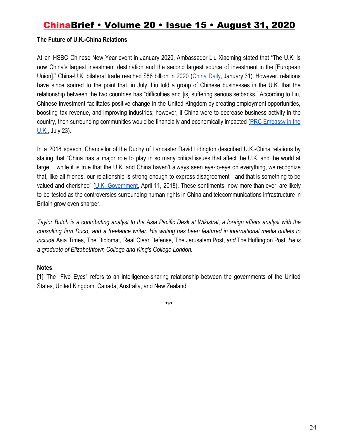#### **The Future of U.K.-China Relations**

At an HSBC Chinese New Year event in January 2020, Ambassador Liu Xiaoming stated that "The U.K. is now China's largest investment destination and the second largest source of investment in the [European Union]." China-U.K. bilateral trade reached \$86 billion in 2020 ([China](https://www.chinadaily.com.cn/a/202001/31/WS5e341e33a310128217273e76_2.html) Daily, January 31). However, relations have since soured to the point that, in July, Liu told a group of Chinese businesses in the U.K. that the relationship between the two countries has "difficulties and [is] suffering serious setbacks." According to Liu, Chinese investment facilitates positive change in the United Kingdom by creating employment opportunities, boosting tax revenue, and improving industries; however, if China were to decrease business activity in the country, then surrounding communities would be financially and economically impacted (PRC [Embassy](http://www.chinese-embassy.org.uk/eng/dshdjjh/t1799982.htm) in the [U.K.](http://www.chinese-embassy.org.uk/eng/dshdjjh/t1799982.htm), July 23).

In a 2018 speech, Chancellor of the Duchy of Lancaster David Lidington described U.K.-China relations by stating that "China has a major role to play in so many critical issues that affect the U.K. and the world at large… while it is true that the U.K. and China haven't always seen eye-to-eye on everything, we recognize that, like all friends, our relationship is strong enough to express disagreement—and that is something to be valued and cherished" (U.K. [Government,](https://www.gov.uk/government/speeches/writing-a-new-chapter-in-the-global-era) April 11, 2018). These sentiments, now more than ever, are likely to be tested as the controversies surrounding human rights in China and telecommunications infrastructure in Britain grow even sharper.

Taylor Butch is a contributing analyst to the Asia Pacific Desk at Wikistrat, a foreign affairs analyst with the consulting firm Duco, and a freelance writer. His writing has been featured in international media outlets to *include* Asia Times, The Diplomat, Real Clear Defense, The Jerusalem Post, *and* The Huffington Post*. He is a graduate of Elizabethtown College and King's College London.*

#### **Notes**

**[1]** The "Five Eyes" refers to an intelligence-sharing relationship between the governments of the United States, United Kingdom, Canada, Australia, and New Zealand.

**\*\*\***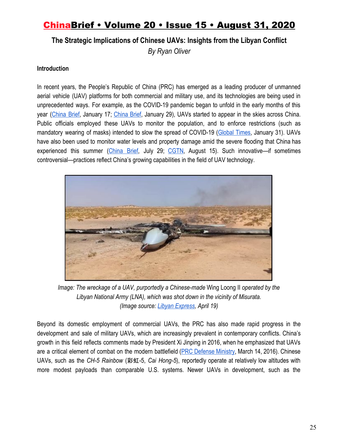**The Strategic Implications of Chinese UAVs: Insights from the Libyan Conflict**

*By Ryan Oliver*

### **Introduction**

In recent years, the People's Republic of China (PRC) has emerged as a leading producer of unmanned aerial vehicle (UAV) platforms for both commercial and military use, and its technologies are being used in unprecedented ways. For example, as the COVID-19 pandemic began to unfold in the early months of this year ([China](https://jamestown.org/program/the-state-response-to-a-mystery-viral-outbreak-in-central-china/) Brief, January 17; [China](https://jamestown.org/program/the-ccp-response-to-the-wuhan-coronavirus-a-preliminary-assessment/) Brief, January 29), UAVs started to appear in the skies across China. Public officials employed these UAVs to monitor the population, and to enforce restrictions (such as mandatory wearing of masks) intended to slow the spread of COVID-19 ([Global](https://www.globaltimes.cn/content/1178134.shtml) Times, January 31). UAVs have also been used to monitor water levels and property damage amid the severe flooding that China has experienced this summer [\(China](https://jamestown.org/program/the-pla-is-mobilized-for-flood-relief-in-eastern-china/) Brief, July 29; [CGTN,](https://news.cgtn.com/news/2020-08-15/Fighting-floods-with-high-tech-How-drones-save-people-from-floods-SYkqqJqAH6/index.html) August 15). Such innovative—if sometimes controversial—practices reflect China's growing capabilities in the field of UAV technology.



*Image: The wreckage of a UAV, purportedly a Chinese-made* Wing Loong II *operated by the Libyan National Army (LNA), which was shot down in the vicinity of Misurata. (Image source: [Libyan Express,](https://www.libyanexpress.com/libyas-gna-shoots-down-wing-loong-drone-for-haftars-forces/) April 19)*

Beyond its domestic employment of commercial UAVs, the PRC has also made rapid progress in the development and sale of military UAVs, which are increasingly prevalent in contemporary conflicts. China's growth in this field reflects comments made by President Xi Jinping in 2016, when he emphasized that UAVs are a critical element of combat on the modern battlefield (PRC [Defense](http://www.81.cn/jmywyl/2016-03/14/content_6959927.htm) Ministry, March 14, 2016). Chinese UAVs, such as the *CH-5 Rainbow* (彩虹-5, *Cai Hong-5*), reportedly operate at relatively low altitudes with more modest payloads than comparable U.S. systems. Newer UAVs in development, such as the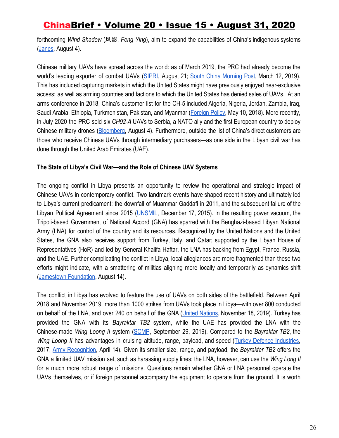forthcoming *Wind Shadow* (风影, *Feng Ying*), aim to expand the capabilities of China's indigenous systems [\(Janes,](https://www.janes.com/defence-news/news-detail/china-reveals-rare-glimpse-of-wind-shadow-uav) August 4).

Chinese military UAVs have spread across the world: as of March 2019, the PRC had already become the world's leading exporter of combat UAVs ([SIPRI,](http://armstrade.sipri.org/armstrade/page/trade_register.php) August 21; [S](https://www.scmp.com/news/china/military/article/2189604/china-sells-weapons-more-countries-and-biggest-exporter-armed)outh China [Morning](https://www.scmp.com/news/china/military/article/2189604/china-sells-weapons-more-countries-and-biggest-exporter-armed) Post, March 12, 2019). This has included capturing markets in which the United States might have previously enjoyed near-exclusive access; as well as arming countries and factions to which the United States has denied sales of UAVs. At an arms conference in 2018, China's customer list for the CH-5 included Algeria, Nigeria, Jordan, Zambia, Iraq, Saudi Arabia, Ethiopia, Turkmenistan, Pakistan, and Myanmar [\(Foreign](https://foreignpolicy.com/2018/05/10/china-trump-middle-east-drone-wars/) Policy, May 10, 2018). More recently, in July 2020 the PRC sold six *CH92-A* UAVs to Serbia, a NATO ally and the first European country to deploy Chinese military drones [\(Bloomberg,](https://www.bloomberg.com/news/articles/2020-08-04/china-s-expanding-footprint-roils-a-nato-reluctant-for-showdown) August 4). Furthermore, outside the list of China's direct customers are those who receive Chinese UAVs through intermediary purchasers—as one side in the Libyan civil war has done through the United Arab Emirates (UAE).

#### **The State of Libya's Civil War—and the Role of Chinese UAV Systems**

The ongoing conflict in Libya presents an opportunity to review the operational and strategic impact of Chinese UAVs in contemporary conflict. Two landmark events have shaped recent history and ultimately led to Libya's current predicament: the downfall of Muammar Gaddafi in 2011, and the subsequent failure of the Libyan Political Agreement since 2015 ([UNSMIL](https://unsmil.unmissions.org/sites/default/files/Libyan%20Political%20Agreement%20-%20ENG%20.pdf), December 17, 2015). In the resulting power vacuum, the Tripoli-based Government of National Accord (GNA) has sparred with the Benghazi-based Libyan National Army (LNA) for control of the country and its resources. Recognized by the United Nations and the United States, the GNA also receives support from Turkey, Italy, and Qatar; supported by the Libyan House of Representatives (HoR) and led by General Khalifa Haftar, the LNA has backing from Egypt, France, Russia, and the UAE. Further complicating the conflict in Libya, local allegiances are more fragmented than these two efforts might indicate, with a smattering of militias aligning more locally and temporarily as dynamics shift [\(Jamestown Foundation](https://jamestown.org/program/what-does-the-future-hold-for-libyas-gna-militias/), August 14).

The conflict in Libya has evolved to feature the use of UAVs on both sides of the battlefield. Between April 2018 and November 2019, more than 1000 strikes from UAVs took place in Libya—with over 800 conducted on behalf of the LNA, and over 240 on behalf of the GNA (United [Nations,](https://www.un.org/press/en/2019/sc14023.doc.htm) November 18, 2019). Turkey has provided the GNA with its *Bayraktar TB2* system, while the UAE has provided the LNA with the Chinese-made *Wing Loong II* system ([SCMP](https://www.scmp.com/news/world/middle-east/article/3030823/chinese-drones-hunt-turkish-drones-libya-air-war), September 29, 2019). Compared to the *Bayraktar TB2*, the *Wing Loong II* has advantages in cruising altitude, range, payload, and speed (Turkey Defence [Industries](https://www.ssb.gov.tr/Website/contentList.aspx?PageID=365&LangID=2), 2017; Army [Recognition](https://www.armyrecognition.com/china_chinese_unmanned_aerial_ground_systems_uk/wing_loong_ii_2_uav_male_armed_drone_data_pictures_video_11906174.html), April 14). Given its smaller size, range, and payload, the *Bayraktar TB2* offers the GNA a limited UAV mission set, such as harassing supply lines; the LNA, however, can use the *Wing Long II* for a much more robust range of missions. Questions remain whether GNA or LNA personnel operate the UAVs themselves, or if foreign personnel accompany the equipment to operate from the ground. It is worth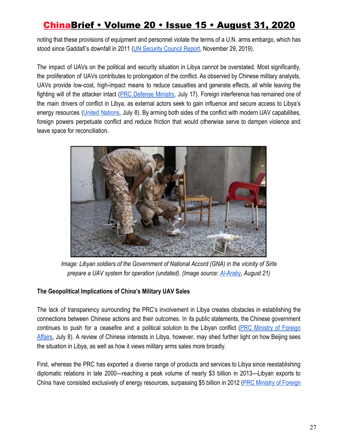noting that these provisions of equipment and personnel violate the terms of a U.N. arms embargo, which has stood since Gaddafi's downfall in 2011 ([UN Security Council Report,](https://www.securitycouncilreport.org/atf/cf/%7B65BFCF9B-6D27-4E9C-8CD3-CF6E4FF96FF9%7D/S_2019_914.pdf) November 29, 2019).

The impact of UAVs on the political and security situation in Libya cannot be overstated. Most significantly, the proliferation of UAVs contributes to prolongation of the conflict. As observed by Chinese military analysts, UAVs provide low-cost, high-impact means to reduce casualties and generate effects, all while leaving the fighting will of the attacker intact (PRC [Defense](http://www.81.cn/jfjbmap/content/2020-07/17/content_266269.htm) Ministry, July 17). Foreign interference has remained one of the main drivers of conflict in Libya, as external actors seek to gain influence and secure access to Libya's energy resources (United [Nations,](https://www.un.org/press/en/2020/sc14243.doc.htm) July 8). By arming both sides of the conflict with modern UAV capabilities, foreign powers perpetuate conflict and reduce friction that would otherwise serve to dampen violence and leave space for reconciliation.



*Image: Libyan soldiers of the Government of National Accord (GNA) in the vicinity of Sirte prepare a UAV system for operation (undated). (Image source: [Al-Araby](https://english.alaraby.co.uk/english/indepth/2019/8/21/the-significance-of-drones-in-the-libyan-conflict), August 21)*

### **The Geopolitical Implications of China's Military UAV Sales**

The lack of transparency surrounding the PRC's involvement in Libya creates obstacles in establishing the connections between Chinese actions and their outcomes. In its public statements, the Chinese government continues to push for a ceasefire and a political solution to the Libyan conflict (PRC [Ministry](https://www.fmprc.gov.cn/web/gjhdq_676201/gj_676203/fz_677316/1206_678018/xgxw_678024/t1796201.shtml) of Foreign [Affairs,](https://www.fmprc.gov.cn/web/gjhdq_676201/gj_676203/fz_677316/1206_678018/xgxw_678024/t1796201.shtml) July 8). A review of Chinese interests in Libya, however, may shed further light on how Beijing sees the situation in Libya, as well as how it views military arms sales more broadly.

First, whereas the PRC has exported a diverse range of products and services to Libya since reestablishing diplomatic relations in late 2000—reaching a peak volume of nearly \$3 billion in 2013—Libyan exports to China have consisted exclusively of energy resources, surpassing \$5 billion in 2012 (PRC [Ministry](https://www.fmprc.gov.cn/web/gjhdq_676201/gj_676203/fz_677316/1206_678018/1207_678030/t4902.shtml) of Foreign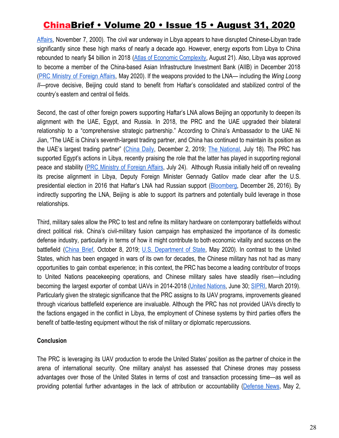[Affairs,](https://www.fmprc.gov.cn/web/gjhdq_676201/gj_676203/fz_677316/1206_678018/1207_678030/t4902.shtml) November 7, 2000). The civil war underway in Libya appears to have disrupted Chinese-Libyan trade significantly since these high marks of nearly a decade ago. However, energy exports from Libya to China rebounded to nearly \$4 billion in 2018 (Atlas of Economic [Complexity,](https://atlas.cid.harvard.edu/) August 21). Also, Libya was approved to become a member of the China-based Asian Infrastructure Investment Bank (AIIB) in December 2018 (PRC [Ministry](https://www.fmprc.gov.cn/web/gjhdq_676201/gj_676203/fz_677316/1206_678018/sbgx_678022/) of Foreign Affairs, May 2020). If the weapons provided to the LNA— including the *Wing Loong II*—prove decisive, Beijing could stand to benefit from Haftar's consolidated and stabilized control of the country's eastern and central oil fields.

Second, the cast of other foreign powers supporting Haftar's LNA allows Beijing an opportunity to deepen its alignment with the UAE, Egypt, and Russia. In 2018, the PRC and the UAE upgraded their bilateral relationship to a "comprehensive strategic partnership." According to China's Ambassador to the UAE Ni Jian, "The UAE is China's seventh-largest trading partner, and China has continued to maintain its position as the UAE's largest trading partner" [\(China](https://www.chinadaily.com.cn/a/201912/02/WS5de45daba310cf3e3557b36f.html) Daily, December 2, 2019; The [National](https://www.thenational.ae/business/economy/uae-china-trade-to-surge-on-the-back-of-strong-ties-between-the-two-nations-1.1050999)*,* July 18). The PRC has supported Egypt's actions in Libya, recently praising the role that the latter has played in supporting regional peace and stability (PRC [Ministry](https://www.fmprc.gov.cn/web/gjhdq_676201/gj_676203/fz_677316/1206_678018/xgxw_678024/t1800311.shtml) of Foreign Affairs, July 24). Although Russia initially held off on revealing its precise alignment in Libya, Deputy Foreign Minister Gennady Gatilov made clear after the U.S. presidential election in 2016 that Haftar's LNA had Russian support [\(Bloomberg](https://www.bloomberg.com/news/articles/2016-12-26/russia-urges-libya-leadership-role-for-un-defying-military-chief), December 26, 2016). By indirectly supporting the LNA, Beijing is able to support its partners and potentially build leverage in those relationships.

Third, military sales allow the PRC to test and refine its military hardware on contemporary battlefields without direct political risk. China's civil-military fusion campaign has emphasized the importance of its domestic defense industry, particularly in terms of how it might contribute to both economic vitality and success on the battlefield ([China](https://jamestown.org/program/military-civil-fusion-beijings-guns-and-butter-strategy-to-become-a-technological-superpower/) Brief, October 8, 2019[;](https://www.state.gov/military-civil-fusion/) U.S. [Department](https://www.state.gov/military-civil-fusion/) of State, May 2020). In contrast to the United States, which has been engaged in wars of its own for decades, the Chinese military has not had as many opportunities to gain combat experience; in this context, the PRC has become a leading contributor of troops to United Nations peacekeeping operations, and Chinese military sales have steadily risen—including becoming the largest exporter of combat UAVs in 2014-2018 (United [Nations,](https://peacekeeping.un.org/sites/default/files/02_country_ranking_26.pdf) June 30; [SIPRI](https://www.sipri.org/sites/default/files/2019-03/fs_1903_at_2018.pdf), March 2019). Particularly given the strategic significance that the PRC assigns to its UAV programs, improvements gleaned through vicarious battlefield experience are invaluable. Although the PRC has not provided UAVs directly to the factions engaged in the conflict in Libya, the employment of Chinese systems by third parties offers the benefit of battle-testing equipment without the risk of military or diplomatic repercussions.

#### **Conclusion**

The PRC is leveraging its UAV production to erode the United States' position as the partner of choice in the arena of international security. One military analyst has assessed that Chinese drones may possess advantages over those of the United States in terms of cost and transaction processing time—as well as providing potential further advantages in the lack of attribution or accountability ([Defense](https://www.defensenews.com/unmanned/2019/05/02/uae-allegedly-using-chinese-drones-for-deadly-airstrikes-in-libya/) News, May 2,